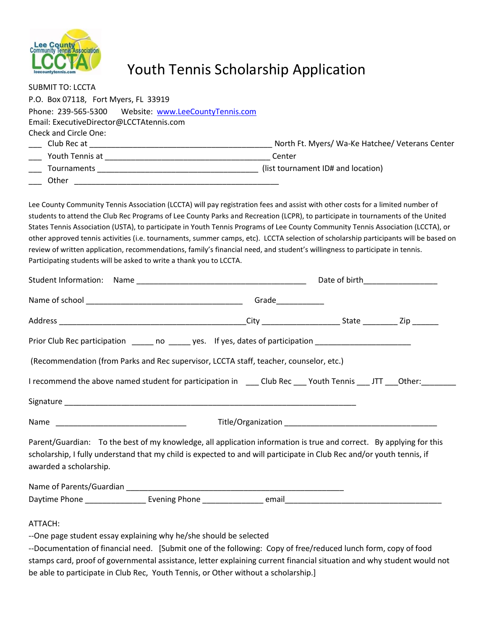

## Youth Tennis Scholarship Application

| <b>SUBMIT TO: LCCTA</b>                                                                                                                                                                                                                                                                                                                                                                                                                                                                                                                                                                                                                                                                                                                              |  |  |  |  |  |
|------------------------------------------------------------------------------------------------------------------------------------------------------------------------------------------------------------------------------------------------------------------------------------------------------------------------------------------------------------------------------------------------------------------------------------------------------------------------------------------------------------------------------------------------------------------------------------------------------------------------------------------------------------------------------------------------------------------------------------------------------|--|--|--|--|--|
| P.O. Box 07118, Fort Myers, FL 33919                                                                                                                                                                                                                                                                                                                                                                                                                                                                                                                                                                                                                                                                                                                 |  |  |  |  |  |
|                                                                                                                                                                                                                                                                                                                                                                                                                                                                                                                                                                                                                                                                                                                                                      |  |  |  |  |  |
| Email: ExecutiveDirector@LCCTAtennis.com                                                                                                                                                                                                                                                                                                                                                                                                                                                                                                                                                                                                                                                                                                             |  |  |  |  |  |
| Check and Circle One:                                                                                                                                                                                                                                                                                                                                                                                                                                                                                                                                                                                                                                                                                                                                |  |  |  |  |  |
|                                                                                                                                                                                                                                                                                                                                                                                                                                                                                                                                                                                                                                                                                                                                                      |  |  |  |  |  |
|                                                                                                                                                                                                                                                                                                                                                                                                                                                                                                                                                                                                                                                                                                                                                      |  |  |  |  |  |
|                                                                                                                                                                                                                                                                                                                                                                                                                                                                                                                                                                                                                                                                                                                                                      |  |  |  |  |  |
|                                                                                                                                                                                                                                                                                                                                                                                                                                                                                                                                                                                                                                                                                                                                                      |  |  |  |  |  |
| Lee County Community Tennis Association (LCCTA) will pay registration fees and assist with other costs for a limited number of<br>students to attend the Club Rec Programs of Lee County Parks and Recreation (LCPR), to participate in tournaments of the United<br>States Tennis Association (USTA), to participate in Youth Tennis Programs of Lee County Community Tennis Association (LCCTA), or<br>other approved tennis activities (i.e. tournaments, summer camps, etc). LCCTA selection of scholarship participants will be based on<br>review of written application, recommendations, family's financial need, and student's willingness to participate in tennis.<br>Participating students will be asked to write a thank you to LCCTA. |  |  |  |  |  |
| Student Information: Name example and the student of birth and Date of birth and Date of birth                                                                                                                                                                                                                                                                                                                                                                                                                                                                                                                                                                                                                                                       |  |  |  |  |  |
|                                                                                                                                                                                                                                                                                                                                                                                                                                                                                                                                                                                                                                                                                                                                                      |  |  |  |  |  |
|                                                                                                                                                                                                                                                                                                                                                                                                                                                                                                                                                                                                                                                                                                                                                      |  |  |  |  |  |
| Prior Club Rec participation _____ no _____ yes. If yes, dates of participation ____________________                                                                                                                                                                                                                                                                                                                                                                                                                                                                                                                                                                                                                                                 |  |  |  |  |  |
| (Recommendation (from Parks and Rec supervisor, LCCTA staff, teacher, counselor, etc.)                                                                                                                                                                                                                                                                                                                                                                                                                                                                                                                                                                                                                                                               |  |  |  |  |  |
| I recommend the above named student for participation in _____Club Rec ____ Youth Tennis ____JTT ___Other:____                                                                                                                                                                                                                                                                                                                                                                                                                                                                                                                                                                                                                                       |  |  |  |  |  |
|                                                                                                                                                                                                                                                                                                                                                                                                                                                                                                                                                                                                                                                                                                                                                      |  |  |  |  |  |
|                                                                                                                                                                                                                                                                                                                                                                                                                                                                                                                                                                                                                                                                                                                                                      |  |  |  |  |  |
| Parent/Guardian: To the best of my knowledge, all application information is true and correct. By applying for this<br>scholarship, I fully understand that my child is expected to and will participate in Club Rec and/or youth tennis, if<br>awarded a scholarship.                                                                                                                                                                                                                                                                                                                                                                                                                                                                               |  |  |  |  |  |
|                                                                                                                                                                                                                                                                                                                                                                                                                                                                                                                                                                                                                                                                                                                                                      |  |  |  |  |  |
|                                                                                                                                                                                                                                                                                                                                                                                                                                                                                                                                                                                                                                                                                                                                                      |  |  |  |  |  |
| ATTACH:                                                                                                                                                                                                                                                                                                                                                                                                                                                                                                                                                                                                                                                                                                                                              |  |  |  |  |  |
| --One page student essay explaining why he/she should be selected                                                                                                                                                                                                                                                                                                                                                                                                                                                                                                                                                                                                                                                                                    |  |  |  |  |  |

--Documentation of financial need. [Submit one of the following: Copy of free/reduced lunch form, copy of food stamps card, proof of governmental assistance, letter explaining current financial situation and why student would not be able to participate in Club Rec, Youth Tennis, or Other without a scholarship.]